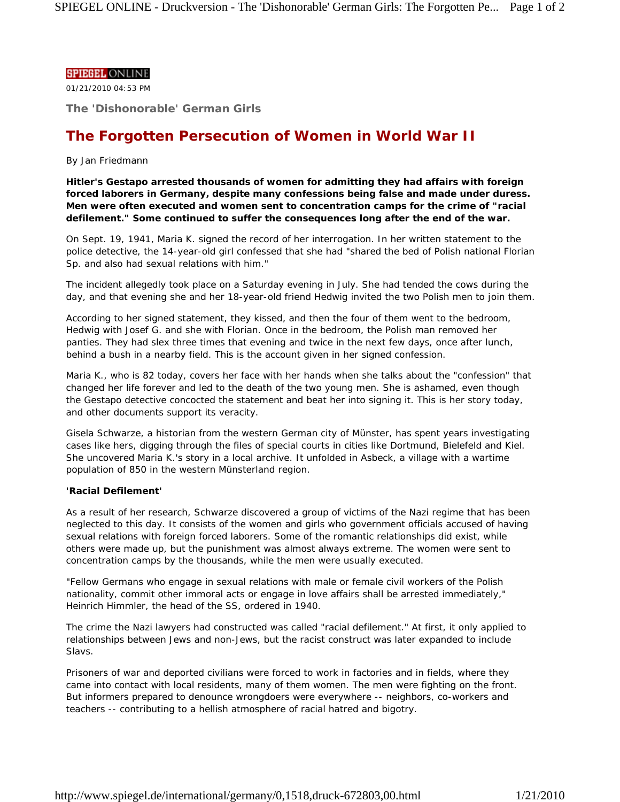### **SPIEGEL ONLINE**

01/21/2010 04:53 PM

**The 'Dishonorable' German Girls**

# **The Forgotten Persecution of Women in World War II**

## *By Jan Friedmann*

**Hitler's Gestapo arrested thousands of women for admitting they had affairs with foreign forced laborers in Germany, despite many confessions being false and made under duress. Men were often executed and women sent to concentration camps for the crime of "racial defilement." Some continued to suffer the consequences long after the end of the war.**

On Sept. 19, 1941, Maria K. signed the record of her interrogation. In her written statement to the police detective, the 14-year-old girl confessed that she had "shared the bed of Polish national Florian Sp. and also had sexual relations with him."

The incident allegedly took place on a Saturday evening in July. She had tended the cows during the day, and that evening she and her 18-year-old friend Hedwig invited the two Polish men to join them.

According to her signed statement, they kissed, and then the four of them went to the bedroom, Hedwig with Josef G. and she with Florian. Once in the bedroom, the Polish man removed her panties. They had slex three times that evening and twice in the next few days, once after lunch, behind a bush in a nearby field. This is the account given in her signed confession.

Maria K., who is 82 today, covers her face with her hands when she talks about the "confession" that changed her life forever and led to the death of the two young men. She is ashamed, even though the Gestapo detective concocted the statement and beat her into signing it. This is her story today, and other documents support its veracity.

Gisela Schwarze, a historian from the western German city of Münster, has spent years investigating cases like hers, digging through the files of special courts in cities like Dortmund, Bielefeld and Kiel. She uncovered Maria K.'s story in a local archive. It unfolded in Asbeck, a village with a wartime population of 850 in the western Münsterland region.

## **'Racial Defilement'**

As a result of her research, Schwarze discovered a group of victims of the Nazi regime that has been neglected to this day. It consists of the women and girls who government officials accused of having sexual relations with foreign forced laborers. Some of the romantic relationships did exist, while others were made up, but the punishment was almost always extreme. The women were sent to concentration camps by the thousands, while the men were usually executed.

"Fellow Germans who engage in sexual relations with male or female civil workers of the Polish nationality, commit other immoral acts or engage in love affairs shall be arrested immediately," Heinrich Himmler, the head of the SS, ordered in 1940.

The crime the Nazi lawyers had constructed was called "racial defilement." At first, it only applied to relationships between Jews and non-Jews, but the racist construct was later expanded to include Slavs.

Prisoners of war and deported civilians were forced to work in factories and in fields, where they came into contact with local residents, many of them women. The men were fighting on the front. But informers prepared to denounce wrongdoers were everywhere -- neighbors, co-workers and teachers -- contributing to a hellish atmosphere of racial hatred and bigotry.